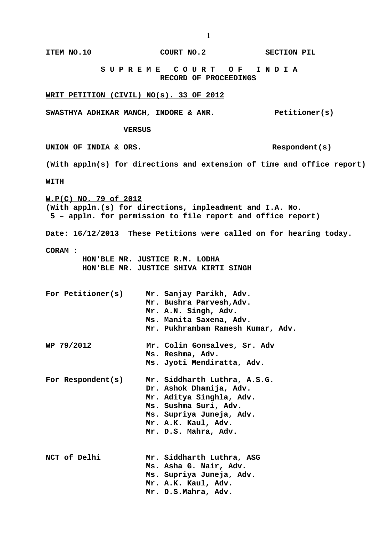**S U P R E M E C O U R T O F I N D I A RECORD OF PROCEEDINGS WRIT PETITION (CIVIL) NO(s). 33 OF 2012 SWASTHYA ADHIKAR MANCH, INDORE & ANR. Petitioner(s) VERSUS UNION OF INDIA & ORS. Respondent(s) (With appln(s) for directions and extension of time and office report) WITH W.P(C) NO. 79 of 2012 (With appln.(s) for directions, impleadment and I.A. No. 5 – appln. for permission to file report and office report) Date: 16/12/2013 These Petitions were called on for hearing today. CORAM : HON'BLE MR. JUSTICE R.M. LODHA HON'BLE MR. JUSTICE SHIVA KIRTI SINGH For Petitioner(s) Mr. Sanjay Parikh, Adv. Mr. Bushra Parvesh,Adv. Mr. A.N. Singh, Adv. Ms. Manita Saxena, Adv. Mr. Pukhrambam Ramesh Kumar, Adv. WP 79/2012 Mr. Colin Gonsalves, Sr. Adv Ms. Reshma, Adv. Ms. Jyoti Mendiratta, Adv. For Respondent(s) Mr. Siddharth Luthra, A.S.G. Dr. Ashok Dhamija, Adv. Mr. Aditya Singhla, Adv. Ms. Sushma Suri, Adv. Ms. Supriya Juneja, Adv. Mr. A.K. Kaul, Adv. Mr. D.S. Mahra, Adv. NCT of Delhi Mr. Siddharth Luthra, ASG Ms. Asha G. Nair, Adv. Ms. Supriya Juneja, Adv. Mr. A.K. Kaul, Adv. Mr. D.S.Mahra, Adv.**

**ITEM NO.10 COURT NO.2 SECTION PIL**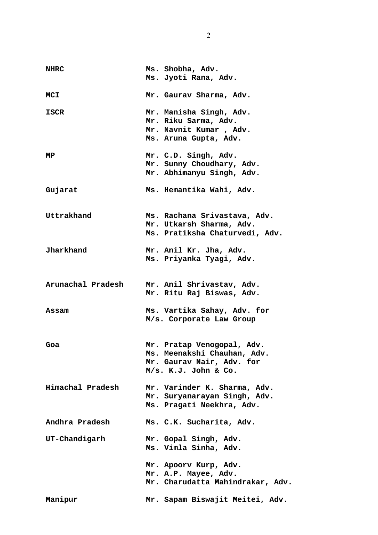| <b>NHRC</b>       | Ms. Shobha, Adv.<br>Ms. Jyoti Rana, Adv.                                                                       |
|-------------------|----------------------------------------------------------------------------------------------------------------|
| <b>MCI</b>        | Mr. Gaurav Sharma, Adv.                                                                                        |
| <b>ISCR</b>       | Mr. Manisha Singh, Adv.<br>Mr. Riku Sarma, Adv.<br>Mr. Navnit Kumar, Adv.<br>Ms. Aruna Gupta, Adv.             |
| MP                | Mr. C.D. Singh, Adv.<br>Mr. Sunny Choudhary, Adv.<br>Mr. Abhimanyu Singh, Adv.                                 |
| Gujarat           | Ms. Hemantika Wahi, Adv.                                                                                       |
| Uttrakhand        | Ms. Rachana Srivastava, Adv.<br>Mr. Utkarsh Sharma, Adv.<br>Ms. Pratiksha Chaturvedi, Adv.                     |
| Jharkhand         | Mr. Anil Kr. Jha, Adv.<br>Ms. Priyanka Tyagi, Adv.                                                             |
| Arunachal Pradesh | Mr. Anil Shrivastav, Adv.<br>Mr. Ritu Raj Biswas, Adv.                                                         |
| Assam             | Ms. Vartika Sahay, Adv. for<br>M/s. Corporate Law Group                                                        |
| Goa               | Mr. Pratap Venogopal, Adv.<br>Ms. Meenakshi Chauhan, Adv.<br>Mr. Gaurav Nair, Adv. for<br>M/s. K.J. John & Co. |
| Himachal Pradesh  | Mr. Varinder K. Sharma, Adv.<br>Mr. Suryanarayan Singh, Adv.<br>Ms. Pragati Neekhra, Adv.                      |
| Andhra Pradesh    | Ms. C.K. Sucharita, Adv.                                                                                       |
| UT-Chandigarh     | Mr. Gopal Singh, Adv.<br>Ms. Vimla Sinha, Adv.                                                                 |
|                   | Mr. Apoorv Kurp, Adv.<br>Mr. A.P. Mayee, Adv.<br>Mr. Charudatta Mahindrakar, Adv.                              |
| Manipur           | Mr. Sapam Biswajit Meitei, Adv.                                                                                |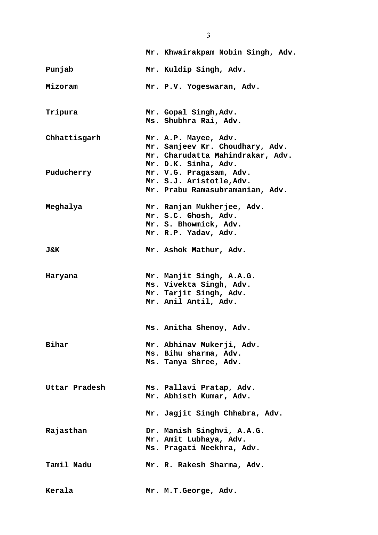|                | Mr. Khwairakpam Nobin Singh, Adv.                                                                              |
|----------------|----------------------------------------------------------------------------------------------------------------|
| Punjab         | Mr. Kuldip Singh, Adv.                                                                                         |
| Mizoram        | Mr. P.V. Yogeswaran, Adv.                                                                                      |
| Tripura        | Mr. Gopal Singh, Adv.<br>Ms. Shubhra Rai, Adv.                                                                 |
| Chhattisgarh   | Mr. A.P. Mayee, Adv.<br>Mr. Sanjeev Kr. Choudhary, Adv.<br>Mr. Charudatta Mahindrakar, Adv.                    |
| Puducherry     | Mr. D.K. Sinha, Adv.<br>Mr. V.G. Pragasam, Adv.<br>Mr. S.J. Aristotle, Adv.<br>Mr. Prabu Ramasubramanian, Adv. |
| Meghalya       | Mr. Ranjan Mukherjee, Adv.<br>Mr. S.C. Ghosh, Adv.<br>Mr. S. Bhowmick, Adv.<br>Mr. R.P. Yadav, Adv.            |
| <b>J&amp;K</b> | Mr. Ashok Mathur, Adv.                                                                                         |
| Haryana        | Mr. Manjit Singh, A.A.G.<br>Ms. Vivekta Singh, Adv.<br>Mr. Tarjit Singh, Adv.<br>Mr. Anil Antil, Adv.          |
|                | Ms. Anitha Shenoy, Adv.                                                                                        |
| Bihar          | Mr. Abhinav Mukerji, Adv.<br>Ms. Bihu sharma, Adv.<br>Ms. Tanya Shree, Adv.                                    |
| Uttar Pradesh  | Ms. Pallavi Pratap, Adv.<br>Mr. Abhisth Kumar, Adv.                                                            |
|                | Mr. Jagjit Singh Chhabra, Adv.                                                                                 |
| Rajasthan      | Dr. Manish Singhvi, A.A.G.<br>Mr. Amit Lubhaya, Adv.<br>Ms. Pragati Neekhra, Adv.                              |
| Tamil Nadu     | Mr. R. Rakesh Sharma, Adv.                                                                                     |
| Kerala         | Mr. M.T. George, Adv.                                                                                          |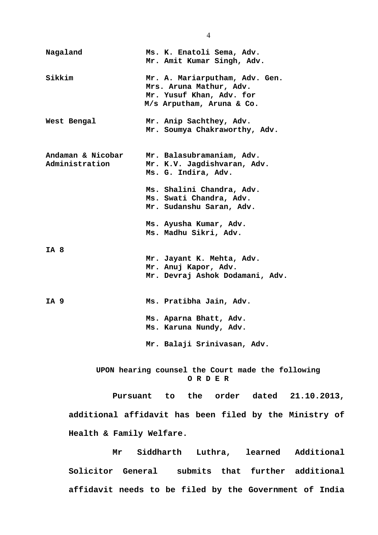**Nagaland Ms. K. Enatoli Sema, Adv. Mr. Amit Kumar Singh, Adv. Sikkim Mr. A. Mariarputham, Adv. Gen. Mrs. Aruna Mathur, Adv. Mr. Yusuf Khan, Adv. for M/s Arputham, Aruna & Co. West Bengal Mr. Anip Sachthey, Adv. Mr. Soumya Chakraworthy, Adv. Andaman & Nicobar Mr. Balasubramaniam, Adv. Administration Mr. K.V. Jagdishvaran, Adv. Ms. G. Indira, Adv. Ms. Shalini Chandra, Adv. Ms. Swati Chandra, Adv. Mr. Sudanshu Saran, Adv. Ms. Ayusha Kumar, Adv. Ms. Madhu Sikri, Adv. IA 8 Mr. Jayant K. Mehta, Adv. Mr. Anuj Kapor, Adv. Mr. Devraj Ashok Dodamani, Adv. IA 9 Ms. Pratibha Jain, Adv. Ms. Aparna Bhatt, Adv. Ms. Karuna Nundy, Adv. Mr. Balaji Srinivasan, Adv. UPON hearing counsel the Court made the following O R D E R Pursuant to the order dated 21.10.2013, additional affidavit has been filed by the Ministry of**

**Health & Family Welfare.**

**Mr Siddharth Luthra, learned Additional Solicitor General submits that further additional affidavit needs to be filed by the Government of India**